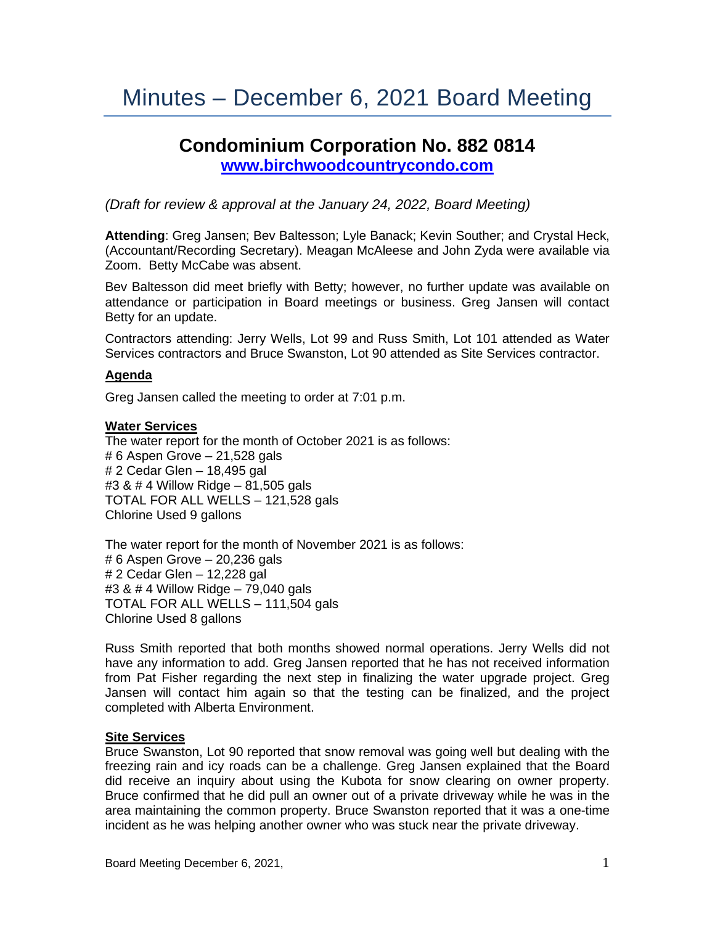# **Condominium Corporation No. 882 0814 [www.birchwoodcountrycondo.com](http://www.birchwoodcountrycondo.com/)**

*(Draft for review & approval at the January 24, 2022, Board Meeting)*

**Attending**: Greg Jansen; Bev Baltesson; Lyle Banack; Kevin Souther; and Crystal Heck, (Accountant/Recording Secretary). Meagan McAleese and John Zyda were available via Zoom. Betty McCabe was absent.

Bev Baltesson did meet briefly with Betty; however, no further update was available on attendance or participation in Board meetings or business. Greg Jansen will contact Betty for an update.

Contractors attending: Jerry Wells, Lot 99 and Russ Smith, Lot 101 attended as Water Services contractors and Bruce Swanston, Lot 90 attended as Site Services contractor.

## **Agenda**

Greg Jansen called the meeting to order at 7:01 p.m.

## **Water Services**

The water report for the month of October 2021 is as follows: # 6 Aspen Grove – 21,528 gals # 2 Cedar Glen – 18,495 gal #3 & # 4 Willow Ridge – 81,505 gals TOTAL FOR ALL WELLS – 121,528 gals Chlorine Used 9 gallons

The water report for the month of November 2021 is as follows: # 6 Aspen Grove – 20,236 gals # 2 Cedar Glen – 12,228 gal #3 & # 4 Willow Ridge – 79,040 gals TOTAL FOR ALL WELLS – 111,504 gals Chlorine Used 8 gallons

Russ Smith reported that both months showed normal operations. Jerry Wells did not have any information to add. Greg Jansen reported that he has not received information from Pat Fisher regarding the next step in finalizing the water upgrade project. Greg Jansen will contact him again so that the testing can be finalized, and the project completed with Alberta Environment.

## **Site Services**

Bruce Swanston, Lot 90 reported that snow removal was going well but dealing with the freezing rain and icy roads can be a challenge. Greg Jansen explained that the Board did receive an inquiry about using the Kubota for snow clearing on owner property. Bruce confirmed that he did pull an owner out of a private driveway while he was in the area maintaining the common property. Bruce Swanston reported that it was a one-time incident as he was helping another owner who was stuck near the private driveway.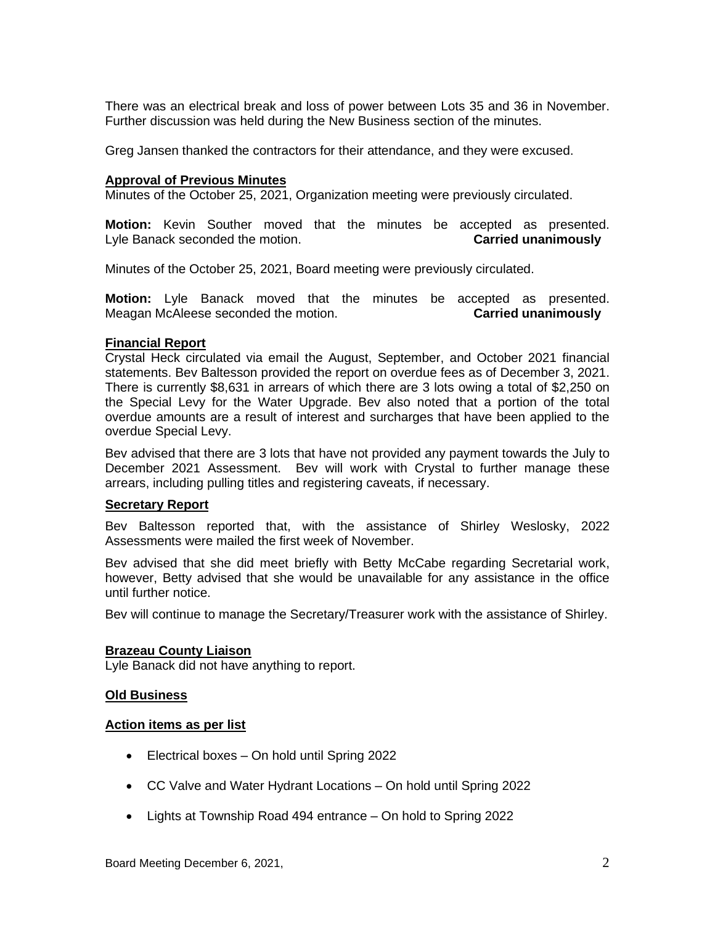There was an electrical break and loss of power between Lots 35 and 36 in November. Further discussion was held during the New Business section of the minutes.

Greg Jansen thanked the contractors for their attendance, and they were excused.

#### **Approval of Previous Minutes**

Minutes of the October 25, 2021, Organization meeting were previously circulated.

**Motion:** Kevin Souther moved that the minutes be accepted as presented. Lyle Banack seconded the motion. **Carried unanimously**

Minutes of the October 25, 2021, Board meeting were previously circulated.

**Motion:** Lyle Banack moved that the minutes be accepted as presented. Meagan McAleese seconded the motion. **Carried unanimously**

#### **Financial Report**

Crystal Heck circulated via email the August, September, and October 2021 financial statements. Bev Baltesson provided the report on overdue fees as of December 3, 2021. There is currently \$8,631 in arrears of which there are 3 lots owing a total of \$2,250 on the Special Levy for the Water Upgrade. Bev also noted that a portion of the total overdue amounts are a result of interest and surcharges that have been applied to the overdue Special Levy.

Bev advised that there are 3 lots that have not provided any payment towards the July to December 2021 Assessment. Bev will work with Crystal to further manage these arrears, including pulling titles and registering caveats, if necessary.

## **Secretary Report**

Bev Baltesson reported that, with the assistance of Shirley Weslosky, 2022 Assessments were mailed the first week of November.

Bev advised that she did meet briefly with Betty McCabe regarding Secretarial work, however, Betty advised that she would be unavailable for any assistance in the office until further notice.

Bev will continue to manage the Secretary/Treasurer work with the assistance of Shirley.

## **Brazeau County Liaison**

Lyle Banack did not have anything to report.

#### **Old Business**

#### **Action items as per list**

- Electrical boxes On hold until Spring 2022
- CC Valve and Water Hydrant Locations On hold until Spring 2022
- Lights at Township Road 494 entrance On hold to Spring 2022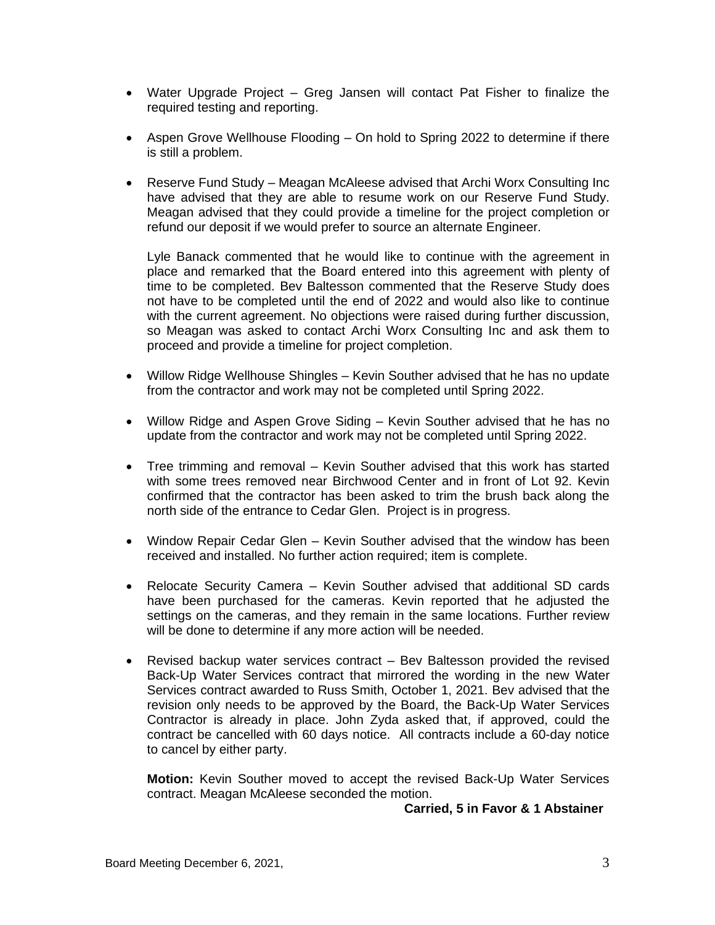- Water Upgrade Project Greg Jansen will contact Pat Fisher to finalize the required testing and reporting.
- Aspen Grove Wellhouse Flooding On hold to Spring 2022 to determine if there is still a problem.
- Reserve Fund Study Meagan McAleese advised that Archi Worx Consulting Inc have advised that they are able to resume work on our Reserve Fund Study. Meagan advised that they could provide a timeline for the project completion or refund our deposit if we would prefer to source an alternate Engineer.

Lyle Banack commented that he would like to continue with the agreement in place and remarked that the Board entered into this agreement with plenty of time to be completed. Bev Baltesson commented that the Reserve Study does not have to be completed until the end of 2022 and would also like to continue with the current agreement. No objections were raised during further discussion, so Meagan was asked to contact Archi Worx Consulting Inc and ask them to proceed and provide a timeline for project completion.

- Willow Ridge Wellhouse Shingles Kevin Souther advised that he has no update from the contractor and work may not be completed until Spring 2022.
- Willow Ridge and Aspen Grove Siding Kevin Souther advised that he has no update from the contractor and work may not be completed until Spring 2022.
- Tree trimming and removal Kevin Souther advised that this work has started with some trees removed near Birchwood Center and in front of Lot 92. Kevin confirmed that the contractor has been asked to trim the brush back along the north side of the entrance to Cedar Glen. Project is in progress.
- Window Repair Cedar Glen Kevin Souther advised that the window has been received and installed. No further action required; item is complete.
- Relocate Security Camera Kevin Souther advised that additional SD cards have been purchased for the cameras. Kevin reported that he adjusted the settings on the cameras, and they remain in the same locations. Further review will be done to determine if any more action will be needed.
- Revised backup water services contract Bev Baltesson provided the revised Back-Up Water Services contract that mirrored the wording in the new Water Services contract awarded to Russ Smith, October 1, 2021. Bev advised that the revision only needs to be approved by the Board, the Back-Up Water Services Contractor is already in place. John Zyda asked that, if approved, could the contract be cancelled with 60 days notice. All contracts include a 60-day notice to cancel by either party.

**Motion:** Kevin Souther moved to accept the revised Back-Up Water Services contract. Meagan McAleese seconded the motion.

 **Carried, 5 in Favor & 1 Abstainer**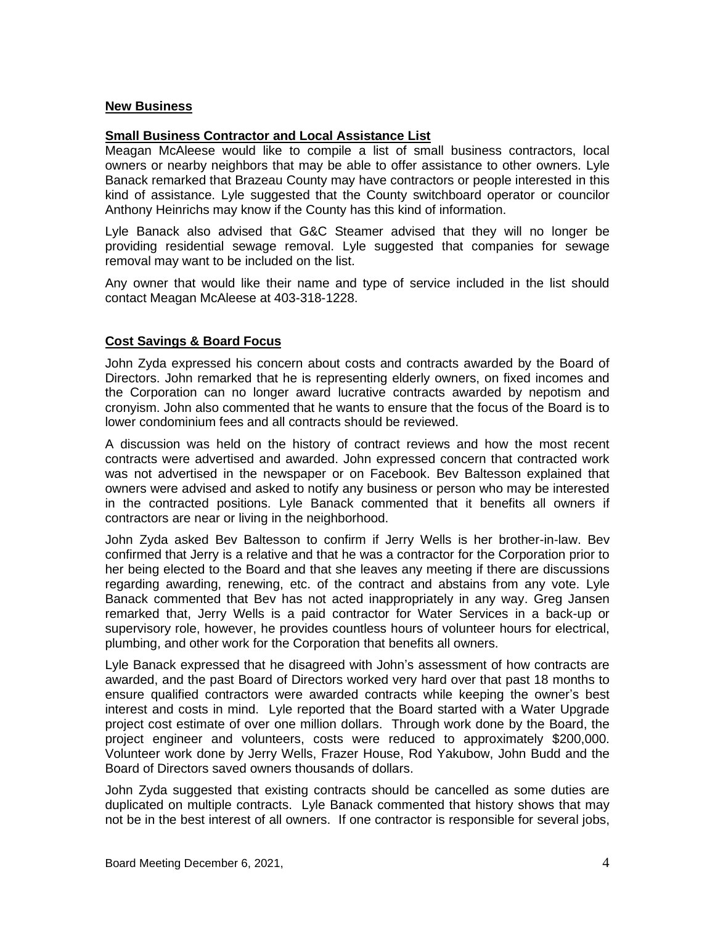## **New Business**

## **Small Business Contractor and Local Assistance List**

Meagan McAleese would like to compile a list of small business contractors, local owners or nearby neighbors that may be able to offer assistance to other owners. Lyle Banack remarked that Brazeau County may have contractors or people interested in this kind of assistance. Lyle suggested that the County switchboard operator or councilor Anthony Heinrichs may know if the County has this kind of information.

Lyle Banack also advised that G&C Steamer advised that they will no longer be providing residential sewage removal. Lyle suggested that companies for sewage removal may want to be included on the list.

Any owner that would like their name and type of service included in the list should contact Meagan McAleese at 403-318-1228.

# **Cost Savings & Board Focus**

John Zyda expressed his concern about costs and contracts awarded by the Board of Directors. John remarked that he is representing elderly owners, on fixed incomes and the Corporation can no longer award lucrative contracts awarded by nepotism and cronyism. John also commented that he wants to ensure that the focus of the Board is to lower condominium fees and all contracts should be reviewed.

A discussion was held on the history of contract reviews and how the most recent contracts were advertised and awarded. John expressed concern that contracted work was not advertised in the newspaper or on Facebook. Bev Baltesson explained that owners were advised and asked to notify any business or person who may be interested in the contracted positions. Lyle Banack commented that it benefits all owners if contractors are near or living in the neighborhood.

John Zyda asked Bev Baltesson to confirm if Jerry Wells is her brother-in-law. Bev confirmed that Jerry is a relative and that he was a contractor for the Corporation prior to her being elected to the Board and that she leaves any meeting if there are discussions regarding awarding, renewing, etc. of the contract and abstains from any vote. Lyle Banack commented that Bev has not acted inappropriately in any way. Greg Jansen remarked that, Jerry Wells is a paid contractor for Water Services in a back-up or supervisory role, however, he provides countless hours of volunteer hours for electrical, plumbing, and other work for the Corporation that benefits all owners.

Lyle Banack expressed that he disagreed with John's assessment of how contracts are awarded, and the past Board of Directors worked very hard over that past 18 months to ensure qualified contractors were awarded contracts while keeping the owner's best interest and costs in mind. Lyle reported that the Board started with a Water Upgrade project cost estimate of over one million dollars. Through work done by the Board, the project engineer and volunteers, costs were reduced to approximately \$200,000. Volunteer work done by Jerry Wells, Frazer House, Rod Yakubow, John Budd and the Board of Directors saved owners thousands of dollars.

John Zyda suggested that existing contracts should be cancelled as some duties are duplicated on multiple contracts. Lyle Banack commented that history shows that may not be in the best interest of all owners. If one contractor is responsible for several jobs,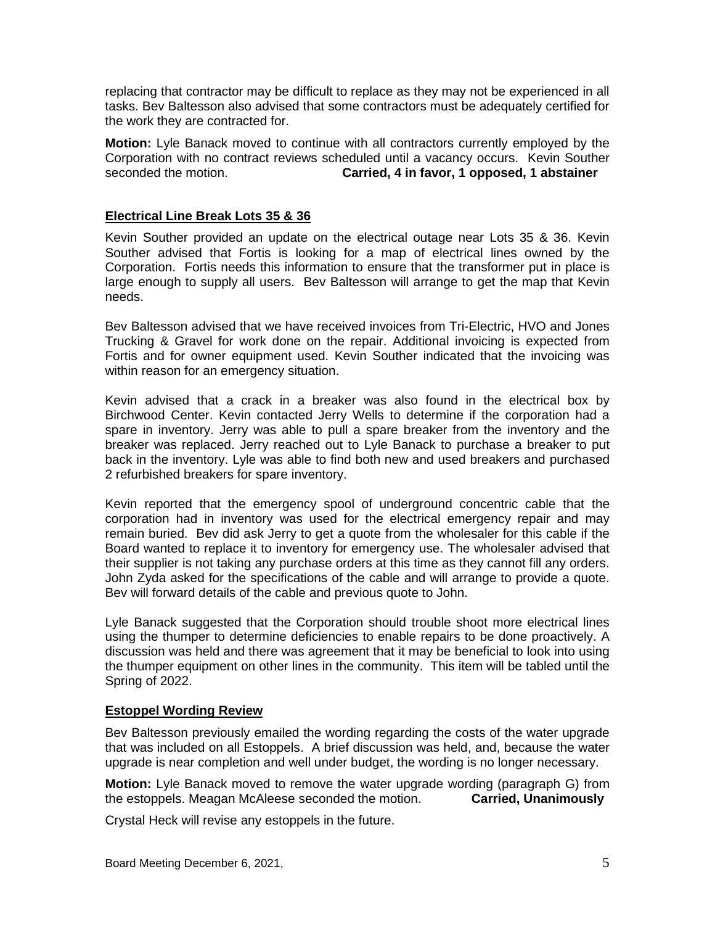replacing that contractor may be difficult to replace as they may not be experienced in all tasks. Bev Baltesson also advised that some contractors must be adequately certified for the work they are contracted for.

**Motion:** Lyle Banack moved to continue with all contractors currently employed by the Corporation with no contract reviews scheduled until a vacancy occurs. Kevin Souther seconded the motion. **Carried, 4 in favor, 1 opposed, 1 abstainer**

# **Electrical Line Break Lots 35 & 36**

Kevin Souther provided an update on the electrical outage near Lots 35 & 36. Kevin Souther advised that Fortis is looking for a map of electrical lines owned by the Corporation. Fortis needs this information to ensure that the transformer put in place is large enough to supply all users. Bev Baltesson will arrange to get the map that Kevin needs.

Bev Baltesson advised that we have received invoices from Tri-Electric, HVO and Jones Trucking & Gravel for work done on the repair. Additional invoicing is expected from Fortis and for owner equipment used. Kevin Souther indicated that the invoicing was within reason for an emergency situation.

Kevin advised that a crack in a breaker was also found in the electrical box by Birchwood Center. Kevin contacted Jerry Wells to determine if the corporation had a spare in inventory. Jerry was able to pull a spare breaker from the inventory and the breaker was replaced. Jerry reached out to Lyle Banack to purchase a breaker to put back in the inventory. Lyle was able to find both new and used breakers and purchased 2 refurbished breakers for spare inventory.

Kevin reported that the emergency spool of underground concentric cable that the corporation had in inventory was used for the electrical emergency repair and may remain buried. Bev did ask Jerry to get a quote from the wholesaler for this cable if the Board wanted to replace it to inventory for emergency use. The wholesaler advised that their supplier is not taking any purchase orders at this time as they cannot fill any orders. John Zyda asked for the specifications of the cable and will arrange to provide a quote. Bev will forward details of the cable and previous quote to John.

Lyle Banack suggested that the Corporation should trouble shoot more electrical lines using the thumper to determine deficiencies to enable repairs to be done proactively. A discussion was held and there was agreement that it may be beneficial to look into using the thumper equipment on other lines in the community. This item will be tabled until the Spring of 2022.

## **Estoppel Wording Review**

Bev Baltesson previously emailed the wording regarding the costs of the water upgrade that was included on all Estoppels. A brief discussion was held, and, because the water upgrade is near completion and well under budget, the wording is no longer necessary.

**Motion:** Lyle Banack moved to remove the water upgrade wording (paragraph G) from the estoppels. Meagan McAleese seconded the motion. **Carried, Unanimously**

Crystal Heck will revise any estoppels in the future.